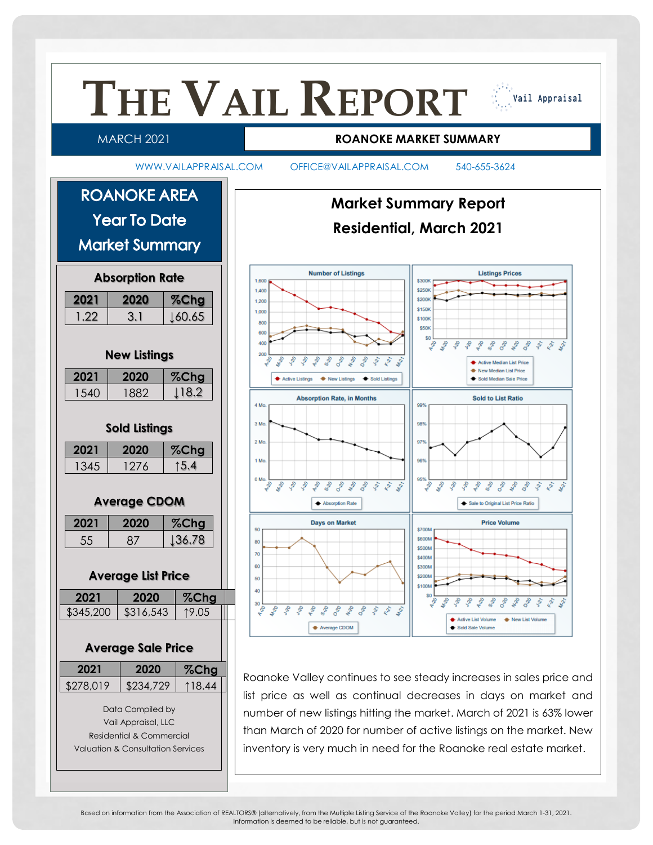

Based on information from the Association of REALTORS® (alternatively, from the Multiple Listing Service of the Roanoke Valley) for the period March 1-31, 2021. Information is deemed to be reliable, but is not guaranteed.